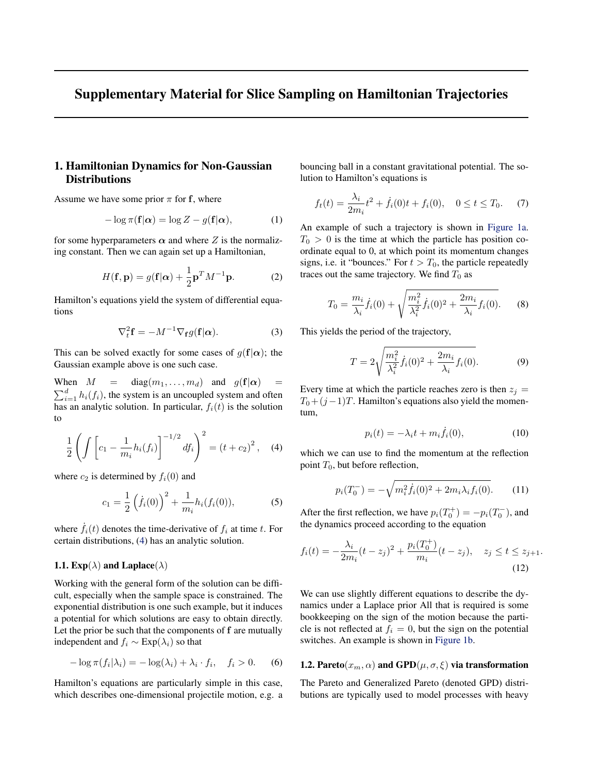## <span id="page-0-0"></span>Supplementary Material for Slice Sampling on Hamiltonian Trajectories

## 1. Hamiltonian Dynamics for Non-Gaussian **Distributions**

Assume we have some prior  $\pi$  for f, where

$$
-\log \pi(\mathbf{f}|\alpha) = \log Z - g(\mathbf{f}|\alpha),\tag{1}
$$

for some hyperparameters  $\alpha$  and where Z is the normalizing constant. Then we can again set up a Hamiltonian,

$$
H(\mathbf{f}, \mathbf{p}) = g(\mathbf{f}|\alpha) + \frac{1}{2}\mathbf{p}^T M^{-1} \mathbf{p}.
$$
 (2)

Hamilton's equations yield the system of differential equations

$$
\nabla_t^2 \mathbf{f} = -M^{-1} \nabla_{\mathbf{f}} g(\mathbf{f}|\alpha). \tag{3}
$$

This can be solved exactly for some cases of  $q(f|\alpha)$ ; the Gaussian example above is one such case.

When  $M = \text{diag}(m_1, \ldots, m_d)$  and  $g(\mathbf{f}|\alpha)$  $\sum_{i=1}^{d} h_i(f_i)$ , the system is an uncoupled system and often has an analytic solution. In particular,  $f_i(t)$  is the solution to

$$
\frac{1}{2}\left(\int \left[c_1 - \frac{1}{m_i}h_i(f_i)\right]^{-1/2} df_i\right)^2 = (t + c_2)^2, \quad (4)
$$

where  $c_2$  is determined by  $f_i(0)$  and

$$
c_1 = \frac{1}{2} \left( \dot{f}_i(0) \right)^2 + \frac{1}{m_i} h_i(f_i(0)), \tag{5}
$$

where  $f_i(t)$  denotes the time-derivative of  $f_i$  at time t. For certain distributions, (4) has an analytic solution.

## 1.1.  $Exp(\lambda)$  and Laplace( $\lambda$ )

Working with the general form of the solution can be difficult, especially when the sample space is constrained. The exponential distribution is one such example, but it induces a potential for which solutions are easy to obtain directly. Let the prior be such that the components of f are mutually independent and  $f_i \sim \text{Exp}(\lambda_i)$  so that

$$
-\log \pi(f_i|\lambda_i) = -\log(\lambda_i) + \lambda_i \cdot f_i, \quad f_i > 0. \tag{6}
$$

Hamilton's equations are particularly simple in this case, which describes one-dimensional projectile motion, e.g. a bouncing ball in a constant gravitational potential. The solution to Hamilton's equations is

$$
f_t(t) = \frac{\lambda_i}{2m_i}t^2 + \dot{f}_i(0)t + f_i(0), \quad 0 \le t \le T_0.
$$
 (7)

An example of such a trajectory is shown in [Figure 1a.](#page-2-0)  $T_0 > 0$  is the time at which the particle has position coordinate equal to 0, at which point its momentum changes signs, i.e. it "bounces." For  $t > T_0$ , the particle repeatedly traces out the same trajectory. We find  $T_0$  as

$$
T_0 = \frac{m_i}{\lambda_i} \dot{f}_i(0) + \sqrt{\frac{m_i^2}{\lambda_i^2} \dot{f}_i(0)^2 + \frac{2m_i}{\lambda_i} f_i(0)}. \tag{8}
$$

This yields the period of the trajectory,

$$
T = 2\sqrt{\frac{m_i^2}{\lambda_i^2} \dot{f}_i(0)^2 + \frac{2m_i}{\lambda_i} f_i(0)}.
$$
 (9)

Every time at which the particle reaches zero is then  $z_j =$  $T_0+(j-1)T$ . Hamilton's equations also yield the momentum,

$$
p_i(t) = -\lambda_i t + m_i \dot{f}_i(0), \qquad (10)
$$

which we can use to find the momentum at the reflection point  $T_0$ , but before reflection,

$$
p_i(T_0^-) = -\sqrt{m_i^2 \dot{f}_i(0)^2 + 2m_i \lambda_i f_i(0)}.
$$
 (11)

After the first reflection, we have  $p_i(T_0^+) = -p_i(T_0^-)$ , and the dynamics proceed according to the equation

$$
f_i(t) = -\frac{\lambda_i}{2m_i}(t - z_j)^2 + \frac{p_i(T_0^+)}{m_i}(t - z_j), \quad z_j \le t \le z_{j+1}.
$$
\n(12)

We can use slightly different equations to describe the dynamics under a Laplace prior All that is required is some bookkeeping on the sign of the motion because the particle is not reflected at  $f_i = 0$ , but the sign on the potential switches. An example is shown in [Figure 1b.](#page-2-0)

## 1.2. Pareto $(x_m, \alpha)$  and  $\text{GPD}(\mu, \sigma, \xi)$  via transformation

The Pareto and Generalized Pareto (denoted GPD) distributions are typically used to model processes with heavy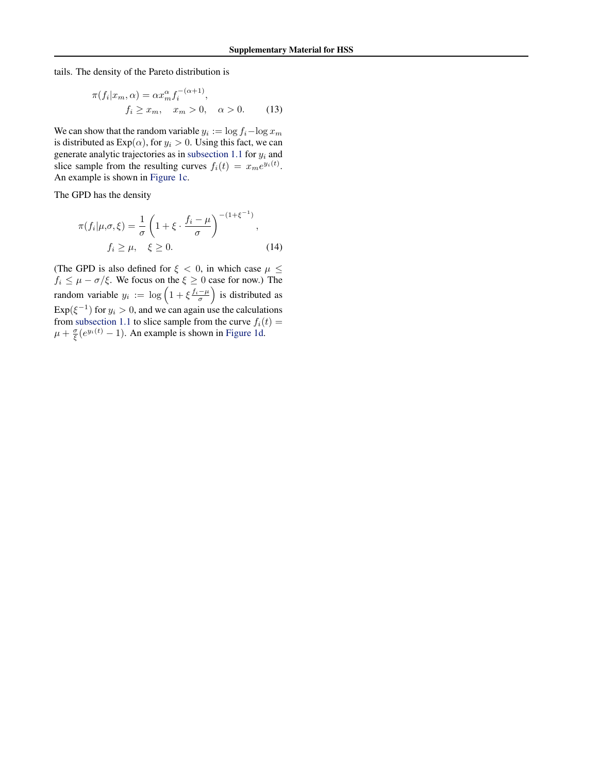tails. The density of the Pareto distribution is

$$
\pi(f_i|x_m,\alpha) = \alpha x_m^{\alpha} f_i^{-(\alpha+1)},
$$
  

$$
f_i \ge x_m, \quad x_m > 0, \quad \alpha > 0.
$$
 (13)

We can show that the random variable  $y_i := \log f_i - \log x_m$ is distributed as  $Exp(\alpha)$ , for  $y_i > 0$ . Using this fact, we can generate analytic trajectories as in [subsection 1.1](#page-0-0) for  $y_i$  and slice sample from the resulting curves  $f_i(t) = x_m e^{y_i(t)}$ . An example is shown in [Figure 1c.](#page-2-0)

The GPD has the density

$$
\pi(f_i|\mu,\sigma,\xi) = \frac{1}{\sigma} \left(1 + \xi \cdot \frac{f_i - \mu}{\sigma}\right)^{-(1 + \xi^{-1})},
$$
  

$$
f_i \ge \mu, \quad \xi \ge 0.
$$
 (14)

(The GPD is also defined for  $\xi$  < 0, in which case  $\mu \leq$  $f_i \leq \mu - \sigma/\xi$ . We focus on the  $\xi \geq 0$  case for now.) The random variable  $y_i := \log \left( 1 + \xi \frac{f_i - \mu}{\sigma} \right)$  is distributed as  $Exp(\xi^{-1})$  for  $y_i > 0$ , and we can again use the calculations from [subsection 1.1](#page-0-0) to slice sample from the curve  $f_i(t) =$  $\mu + \frac{\sigma}{\xi}(e^{y_i(t)} - 1)$ . An example is shown in [Figure 1d.](#page-2-0)